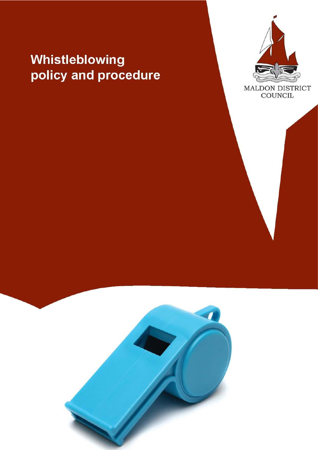# Whistleblowing policy and procedure



MALDON DISTRICT<br>COUNCIL

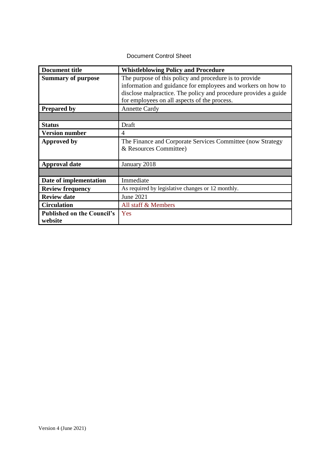#### Document Control Sheet

| <b>Document title</b>                        | <b>Whistleblowing Policy and Procedure</b>                                                                                                                                                                                                |
|----------------------------------------------|-------------------------------------------------------------------------------------------------------------------------------------------------------------------------------------------------------------------------------------------|
| <b>Summary of purpose</b>                    | The purpose of this policy and procedure is to provide<br>information and guidance for employees and workers on how to<br>disclose malpractice. The policy and procedure provides a guide<br>for employees on all aspects of the process. |
| <b>Prepared by</b>                           | <b>Annette Cardy</b>                                                                                                                                                                                                                      |
|                                              |                                                                                                                                                                                                                                           |
| <b>Status</b>                                | Draft                                                                                                                                                                                                                                     |
| <b>Version number</b>                        | $\overline{4}$                                                                                                                                                                                                                            |
| <b>Approved by</b>                           | The Finance and Corporate Services Committee (now Strategy<br>& Resources Committee)                                                                                                                                                      |
| <b>Approval date</b>                         | January 2018                                                                                                                                                                                                                              |
|                                              |                                                                                                                                                                                                                                           |
| Date of implementation                       | Immediate                                                                                                                                                                                                                                 |
| <b>Review frequency</b>                      | As required by legislative changes or 12 monthly.                                                                                                                                                                                         |
| <b>Review date</b>                           | June 2021                                                                                                                                                                                                                                 |
| <b>Circulation</b>                           | All staff & Members                                                                                                                                                                                                                       |
| <b>Published on the Council's</b><br>website | Yes                                                                                                                                                                                                                                       |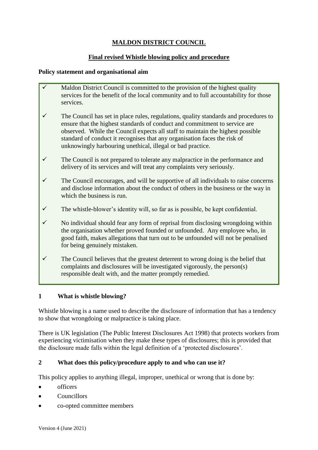## **MALDON DISTRICT COUNCIL**

## **Final revised Whistle blowing policy and procedure**

#### **Policy statement and organisational aim**

- Maldon District Council is committed to the provision of the highest quality services for the benefit of the local community and to full accountability for those services.
- $\checkmark$  The Council has set in place rules, regulations, quality standards and procedures to ensure that the highest standards of conduct and commitment to service are observed. While the Council expects all staff to maintain the highest possible standard of conduct it recognises that any organisation faces the risk of unknowingly harbouring unethical, illegal or bad practice.
- $\checkmark$  The Council is not prepared to tolerate any malpractice in the performance and delivery of its services and will treat any complaints very seriously.
- $\checkmark$  The Council encourages, and will be supportive of all individuals to raise concerns and disclose information about the conduct of others in the business or the way in which the business is run.
- $\checkmark$  The whistle-blower's identity will, so far as is possible, be kept confidential.
- $\checkmark$  No individual should fear any form of reprisal from disclosing wrongdoing within the organisation whether proved founded or unfounded. Any employee who, in good faith, makes allegations that turn out to be unfounded will not be penalised for being genuinely mistaken.
- $\checkmark$  The Council believes that the greatest deterrent to wrong doing is the belief that complaints and disclosures will be investigated vigorously, the person(s) responsible dealt with, and the matter promptly remedied.

## **1 What is whistle blowing?**

Whistle blowing is a name used to describe the disclosure of information that has a tendency to show that wrongdoing or malpractice is taking place.

There is UK legislation (The Public Interest Disclosures Act 1998) that protects workers from experiencing victimisation when they make these types of disclosures; this is provided that the disclosure made falls within the legal definition of a 'protected disclosures'.

## **2 What does this policy/procedure apply to and who can use it?**

This policy applies to anything illegal, improper, unethical or wrong that is done by:

- officers
- Councillors
- co-opted committee members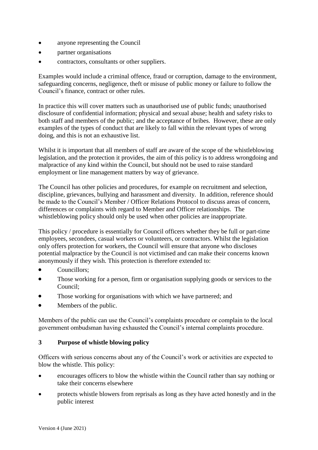- anyone representing the Council
- partner organisations
- contractors, consultants or other suppliers.

Examples would include a criminal offence, fraud or corruption, damage to the environment, safeguarding concerns, negligence, theft or misuse of public money or failure to follow the Council's finance, contract or other rules.

In practice this will cover matters such as unauthorised use of public funds; unauthorised disclosure of confidential information; physical and sexual abuse; health and safety risks to both staff and members of the public; and the acceptance of bribes. However, these are only examples of the types of conduct that are likely to fall within the relevant types of wrong doing, and this is not an exhaustive list.

Whilst it is important that all members of staff are aware of the scope of the whistleblowing legislation, and the protection it provides, the aim of this policy is to address wrongdoing and malpractice of any kind within the Council, but should not be used to raise standard employment or line management matters by way of grievance.

The Council has other policies and procedures, for example on recruitment and selection, discipline, grievances, bullying and harassment and diversity. In addition, reference should be made to the Council's Member / Officer Relations Protocol to discuss areas of concern, differences or complaints with regard to Member and Officer relationships. The whistleblowing policy should only be used when other policies are inappropriate.

This policy / procedure is essentially for Council officers whether they be full or part-time employees, secondees, casual workers or volunteers, or contractors. Whilst the legislation only offers protection for workers, the Council will ensure that anyone who discloses potential malpractice by the Council is not victimised and can make their concerns known anonymously if they wish. This protection is therefore extended to:

- Councillors:
- Those working for a person, firm or organisation supplying goods or services to the Council;
- Those working for organisations with which we have partnered; and
- Members of the public.

Members of the public can use the Council's complaints procedure or complain to the local government ombudsman having exhausted the Council's internal complaints procedure.

#### **3 Purpose of whistle blowing policy**

Officers with serious concerns about any of the Council's work or activities are expected to blow the whistle. This policy:

- encourages officers to blow the whistle within the Council rather than say nothing or take their concerns elsewhere
- protects whistle blowers from reprisals as long as they have acted honestly and in the public interest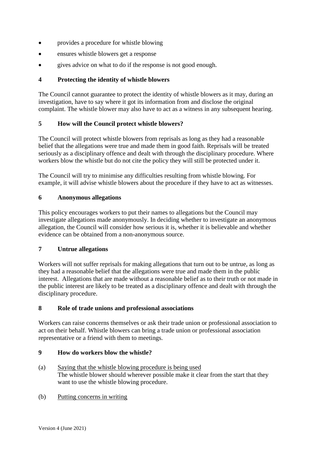- provides a procedure for whistle blowing
- ensures whistle blowers get a response
- gives advice on what to do if the response is not good enough.

## **4 Protecting the identity of whistle blowers**

The Council cannot guarantee to protect the identity of whistle blowers as it may, during an investigation, have to say where it got its information from and disclose the original complaint. The whistle blower may also have to act as a witness in any subsequent hearing.

## **5 How will the Council protect whistle blowers?**

The Council will protect whistle blowers from reprisals as long as they had a reasonable belief that the allegations were true and made them in good faith. Reprisals will be treated seriously as a disciplinary offence and dealt with through the disciplinary procedure. Where workers blow the whistle but do not cite the policy they will still be protected under it.

The Council will try to minimise any difficulties resulting from whistle blowing. For example, it will advise whistle blowers about the procedure if they have to act as witnesses.

## **6 Anonymous allegations**

This policy encourages workers to put their names to allegations but the Council may investigate allegations made anonymously. In deciding whether to investigate an anonymous allegation, the Council will consider how serious it is, whether it is believable and whether evidence can be obtained from a non-anonymous source.

## **7 Untrue allegations**

Workers will not suffer reprisals for making allegations that turn out to be untrue, as long as they had a reasonable belief that the allegations were true and made them in the public interest. Allegations that are made without a reasonable belief as to their truth or not made in the public interest are likely to be treated as a disciplinary offence and dealt with through the disciplinary procedure.

## **8 Role of trade unions and professional associations**

Workers can raise concerns themselves or ask their trade union or professional association to act on their behalf. Whistle blowers can bring a trade union or professional association representative or a friend with them to meetings.

## **9 How do workers blow the whistle?**

(a) Saying that the whistle blowing procedure is being used The whistle blower should wherever possible make it clear from the start that they want to use the whistle blowing procedure.

## (b) Putting concerns in writing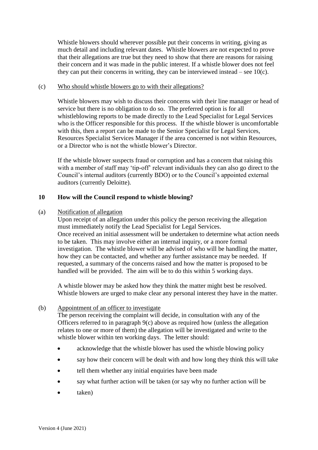Whistle blowers should wherever possible put their concerns in writing, giving as much detail and including relevant dates. Whistle blowers are not expected to prove that their allegations are true but they need to show that there are reasons for raising their concern and it was made in the public interest. If a whistle blower does not feel they can put their concerns in writing, they can be interviewed instead – see  $10(c)$ .

#### (c) Who should whistle blowers go to with their allegations?

Whistle blowers may wish to discuss their concerns with their line manager or head of service but there is no obligation to do so. The preferred option is for all whistleblowing reports to be made directly to the Lead Specialist for Legal Services who is the Officer responsible for this process. If the whistle blower is uncomfortable with this, then a report can be made to the Senior Specialist for Legal Services, Resources Specialist Services Manager if the area concerned is not within Resources, or a Director who is not the whistle blower's Director.

If the whistle blower suspects fraud or corruption and has a concern that raising this with a member of staff may 'tip-off' relevant individuals they can also go direct to the Council's internal auditors (currently BDO) or to the Council's appointed external auditors (currently Deloitte).

#### **10 How will the Council respond to whistle blowing?**

#### (a) Notification of allegation

Upon receipt of an allegation under this policy the person receiving the allegation must immediately notify the Lead Specialist for Legal Services. Once received an initial assessment will be undertaken to determine what action needs to be taken. This may involve either an internal inquiry, or a more formal investigation. The whistle blower will be advised of who will be handling the matter, how they can be contacted, and whether any further assistance may be needed. If requested, a summary of the concerns raised and how the matter is proposed to be handled will be provided. The aim will be to do this within 5 working days.

A whistle blower may be asked how they think the matter might best be resolved. Whistle blowers are urged to make clear any personal interest they have in the matter.

#### (b) Appointment of an officer to investigate

The person receiving the complaint will decide, in consultation with any of the Officers referred to in paragraph 9(c) above as required how (unless the allegation relates to one or more of them) the allegation will be investigated and write to the whistle blower within ten working days. The letter should:

- acknowledge that the whistle blower has used the whistle blowing policy
- say how their concern will be dealt with and how long they think this will take
- tell them whether any initial enquiries have been made
- say what further action will be taken (or say why no further action will be
- taken)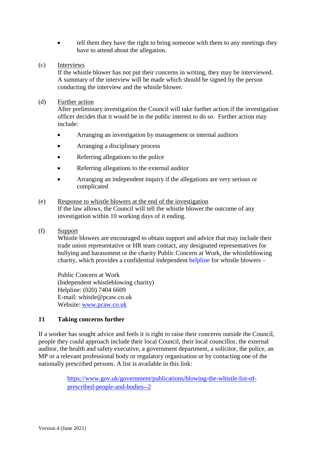• tell them they have the right to bring someone with them to any meetings they have to attend about the allegation.

#### (c) Interviews

If the whistle blower has not put their concerns in writing, they may be interviewed. A summary of the interview will be made which should be signed by the person conducting the interview and the whistle blower.

#### (d) Further action

After preliminary investigation the Council will take further action if the investigation officer decides that it would be in the public interest to do so. Further action may include:

- Arranging an investigation by management or internal auditors
- Arranging a disciplinary process
- Referring allegations to the police
- Referring allegations to the external auditor
- Arranging an independent inquiry if the allegations are very serious or complicated

#### (e) Response to whistle blowers at the end of the investigation If the law allows, the Council will tell the whistle blower the outcome of any investigation within 10 working days of it ending.

#### (f) Support

Whistle blowers are encouraged to obtain support and advice that may include their trade union representative or HR team contact, any designated representatives for bullying and harassment or the charity Public Concern at Work, the whistleblowing charity, which provides a confidential independent helpline for whistle blowers –

Public Concern at Work (Independent whistleblowing charity) Helpline: (020) 7404 6609 E-mail: whistle@pcaw.co.uk Website: [www.pcaw.co.uk](http://www.pcaw.co.uk/)

## **11 Taking concerns further**

If a worker has sought advice and feels it is right to raise their concerns outside the Council, people they could approach include their local Council, their local councillor, the external auditor, the health and safety executive, a government department, a solicitor, the police, an MP or a relevant professional body or regulatory organisation or by contacting one of the nationally prescribed persons. A list is available in this link:

> [https://www.gov.uk/government/publications/blowing-the-whistle-list-of](https://www.gov.uk/government/publications/blowing-the-whistle-list-of-prescribed-people-and-bodies--2)[prescribed-people-and-bodies--2](https://www.gov.uk/government/publications/blowing-the-whistle-list-of-prescribed-people-and-bodies--2)